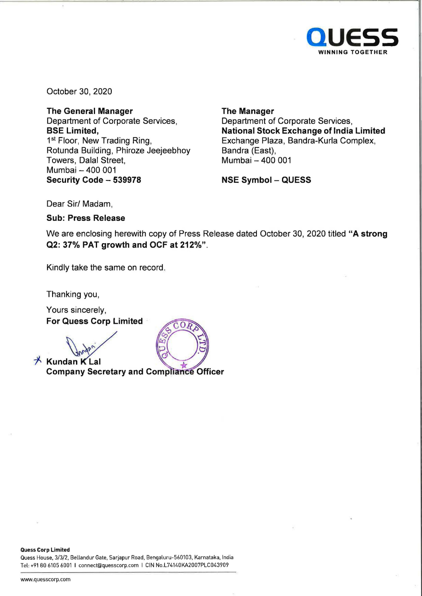

October 30, 2020

**The General Manager**  Department of Corporate Services, **BSE Limited,**  1<sup>st</sup> Floor, New Trading Ring, Rotunda Building, Phiroze Jeejeebhoy Towers, Dalal Street, Mumbai - 400 001 **Security Code - 539978** 

**The Manager**  Department of Corporate Services, **National Stock Exchange of India Limited**  Exchange Plaza, Bandra-Kurla Complex, Bandra (East), Mumbai - 400 001

**NSE Symbol - QUESS** 

Dear Sir/ Madam,

**Sub: Press Release** 

We are enclosing herewith copy of Press Release dated October 30, 2020 titled **"A strong Q2: 37% PAT growth and OCF at 212%".** 

 $\Omega$ 

Kindly take the same on record.

Thanking you,

Yours sincerely,

**For Quess Corp Limited**<br>  $\sqrt{\frac{1}{2}n^2n^2}$ 

 $\overrightarrow{A}$  **Kundan K** Lal **Company Secretary and Compliance Officer** 

**Quess Corp Limited** 

Quess House, 3/3/2, Bellandur Gate, Sarjapur Road, Bengaluru-560103, Karnataka, India Tel: +9180 6105 6001 I connect@quesscorp.com I CIN No.L74140KA2007PLC043909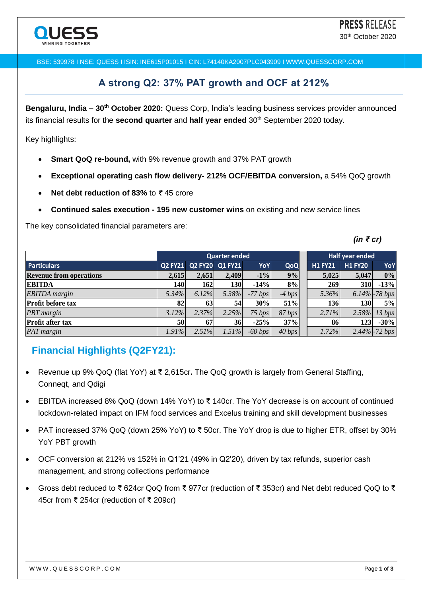BSE: 539978 I NSE: QUESS I ISIN: INE615P01015 I CIN: L74140KA2007PLC043909 I WWW.QUESSCORP.COM

## **A strong Q2: 37% PAT growth and OCF at 212%**

**Bengaluru, India – 30th October 2020:** Quess Corp, India's leading business services provider announced its financial results for the **second quarter** and **half year ended** 30<sup>th</sup> September 2020 today.

Key highlights:

- **Smart QoQ re-bound,** with 9% revenue growth and 37% PAT growth
- **Exceptional operating cash flow delivery- 212% OCF/EBITDA conversion,** a 54% QoQ growth
- **Net debt reduction of 83%** to *₹* 45 crore
- **Continued sales execution - 195 new customer wins** on existing and new service lines

The key consolidated financial parameters are:

*(in ₹ cr)*

|                                | <b>Quarter ended</b> |       |                         |           |                  | Half year ended |                |                  |  |
|--------------------------------|----------------------|-------|-------------------------|-----------|------------------|-----------------|----------------|------------------|--|
| <b>Particulars</b>             |                      |       | Q2 FY21 Q2 FY20 Q1 FY21 | YoY       | QoQ              | <b>H1 FY21</b>  | <b>H1 FY20</b> | YoY              |  |
| <b>Revenue from operations</b> | 2.615                | 2,651 | 2,409                   | $-1%$     | 9%               | 5,025           | 5,047          | 0%               |  |
| <b>EBITDA</b>                  | 140                  | 162   | <b>130</b>              | $-14%$    | 8%               | 269             | 310            | $-13%$           |  |
| <b>EBITDA</b> margin           | 5.34%                | 6.12% | 5.38%                   | $-77 bps$ | $-4 bps$         | 5.36%           |                | $6.14\%$ -78 bps |  |
| <b>Profit before tax</b>       | 82                   | 63    | 54                      | 30%       | 51%              | 136             | 130            | $5\%$            |  |
| <b>PBT</b> margin              | 3.12%                | 2.37% | 2.25%                   | 75 bps    | 87 bps           | 2.71%           |                | 2.58% 13 bps     |  |
| <b>Profit after tax</b>        | 50                   | 67    | 36                      | $-25%$    | 37%              | 86              | 123            | $-30%$           |  |
| <b>PAT</b> margin              | 1.91%                | 2.51% | $1.51\%$                | $-60 bps$ | $40 \text{ bps}$ | 1.72%           |                | $2.44\%$ -72 bps |  |

## **Financial Highlights (Q2FY21):**

- Revenue up 9% QoQ (flat YoY) at ₹ 2,615cr**.** The QoQ growth is largely from General Staffing, Conneqt, and Qdigi
- EBITDA increased 8% QoQ (down 14% YoY) to ₹ 140cr. The YoY decrease is on account of continued lockdown-related impact on IFM food services and Excelus training and skill development businesses
- PAT increased 37% QoQ (down 25% YoY) to ₹ 50cr. The YoY drop is due to higher ETR, offset by 30% YoY PBT growth
- OCF conversion at 212% vs 152% in Q1'21 (49% in Q2'20), driven by tax refunds, superior cash management, and strong collections performance
- Gross debt reduced to ₹ 624cr QoQ from ₹ 977cr (reduction of ₹ 353cr) and Net debt reduced QoQ to ₹ 45cr from ₹ 254cr (reduction of ₹ 209cr)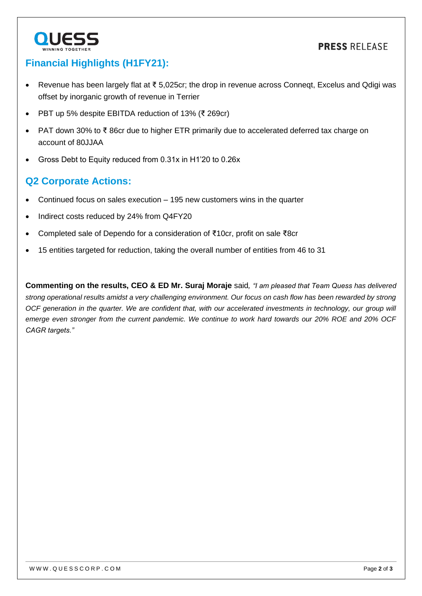## **PRESS RELEASE**



## **Financial Highlights (H1FY21):**

- Revenue has been largely flat at ₹ 5,025cr; the drop in revenue across Conneqt, Excelus and Qdigi was offset by inorganic growth of revenue in Terrier
- PBT up 5% despite EBITDA reduction of 13% (₹ 269cr)
- PAT down 30% to ₹ 86cr due to higher ETR primarily due to accelerated deferred tax charge on account of 80JJAA
- Gross Debt to Equity reduced from 0.31x in H1'20 to 0.26x

# **Q2 Corporate Actions:**

- Continued focus on sales execution 195 new customers wins in the quarter
- Indirect costs reduced by 24% from Q4FY20
- Completed sale of Dependo for a consideration of ₹10cr, profit on sale ₹8cr
- 15 entities targeted for reduction, taking the overall number of entities from 46 to 31

**Commenting on the results, CEO & ED Mr. Suraj Moraje** said*, "I am pleased that Team Quess has delivered strong operational results amidst a very challenging environment. Our focus on cash flow has been rewarded by strong OCF generation in the quarter. We are confident that, with our accelerated investments in technology, our group will emerge even stronger from the current pandemic. We continue to work hard towards our 20% ROE and 20% OCF CAGR targets."*